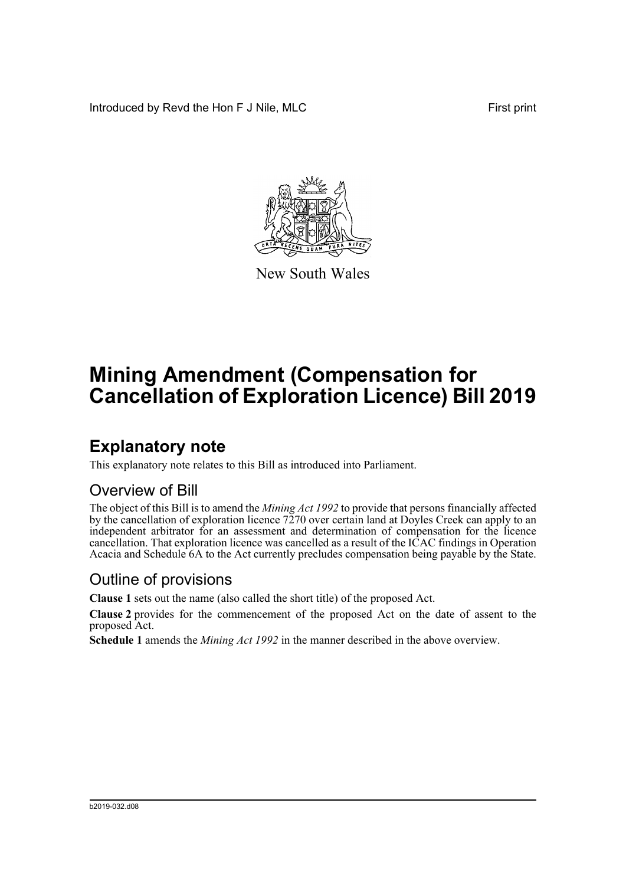Introduced by Revd the Hon F J Nile, MLC First print



New South Wales

# **Mining Amendment (Compensation for Cancellation of Exploration Licence) Bill 2019**

## **Explanatory note**

This explanatory note relates to this Bill as introduced into Parliament.

#### Overview of Bill

The object of this Bill is to amend the *Mining Act 1992* to provide that persons financially affected by the cancellation of exploration licence 7270 over certain land at Doyles Creek can apply to an independent arbitrator for an assessment and determination of compensation for the licence cancellation. That exploration licence was cancelled as a result of the ICAC findings in Operation Acacia and Schedule 6A to the Act currently precludes compensation being payable by the State.

#### Outline of provisions

**Clause 1** sets out the name (also called the short title) of the proposed Act.

**Clause 2** provides for the commencement of the proposed Act on the date of assent to the proposed Act.

**Schedule 1** amends the *Mining Act 1992* in the manner described in the above overview.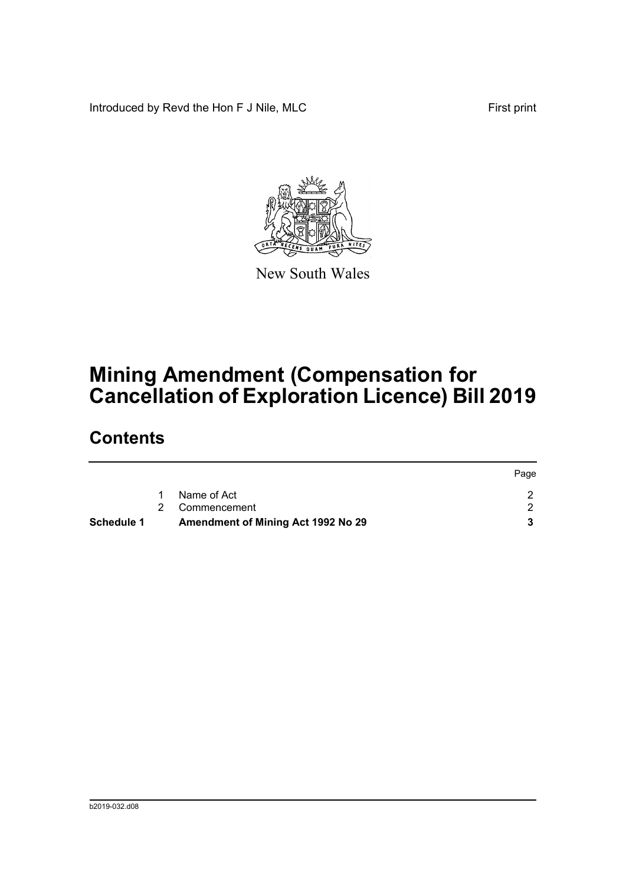Introduced by Revd the Hon F J Nile, MLC First print



New South Wales

# **Mining Amendment (Compensation for Cancellation of Exploration Licence) Bill 2019**

### **Contents**

|            |                                    | Page |
|------------|------------------------------------|------|
|            | Name of Act                        |      |
|            | 2 Commencement                     |      |
| Schedule 1 | Amendment of Mining Act 1992 No 29 |      |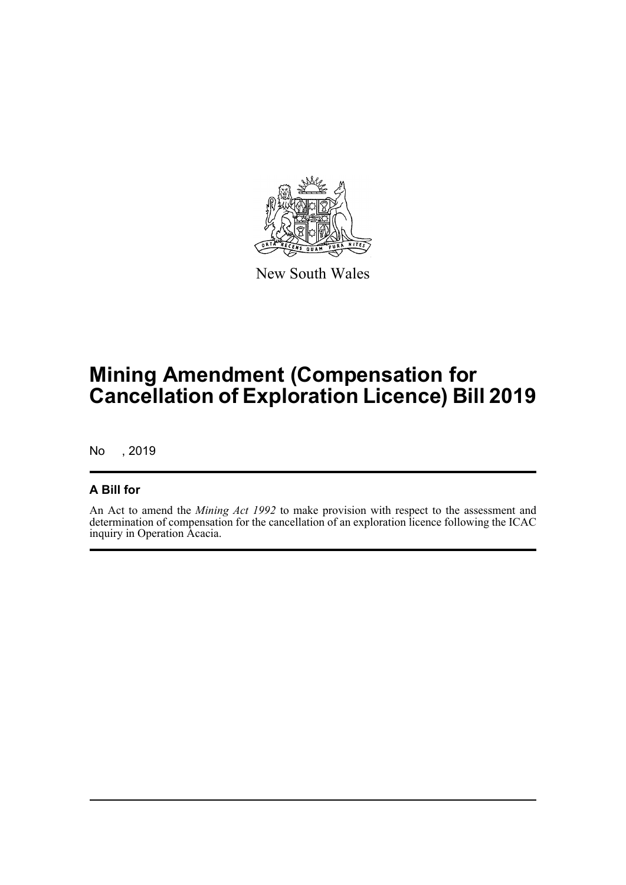

New South Wales

# **Mining Amendment (Compensation for Cancellation of Exploration Licence) Bill 2019**

No , 2019

#### **A Bill for**

An Act to amend the *Mining Act 1992* to make provision with respect to the assessment and determination of compensation for the cancellation of an exploration licence following the ICAC inquiry in Operation Acacia.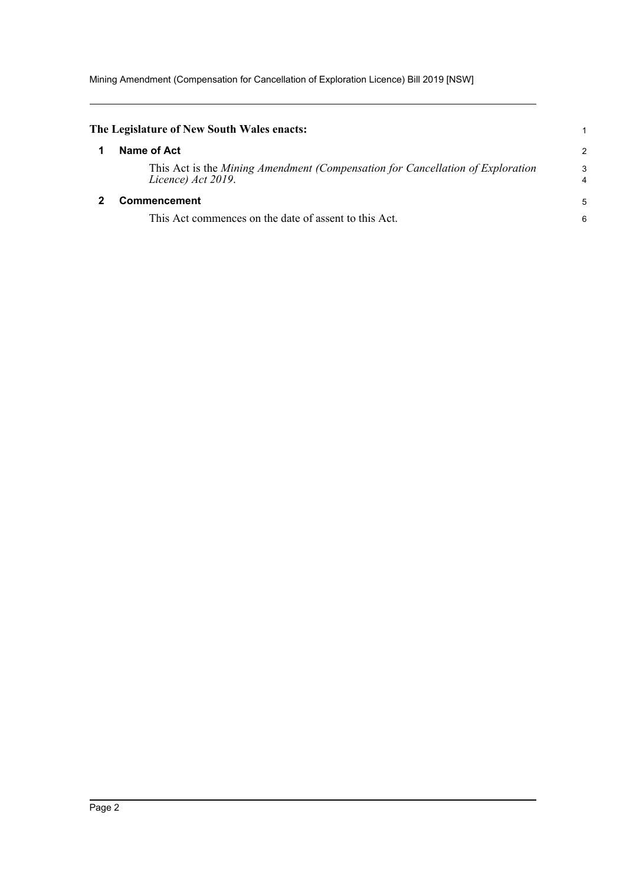Mining Amendment (Compensation for Cancellation of Exploration Licence) Bill 2019 [NSW]

<span id="page-3-1"></span><span id="page-3-0"></span>

| The Legislature of New South Wales enacts:                                                           |                |
|------------------------------------------------------------------------------------------------------|----------------|
| Name of Act                                                                                          | $\overline{2}$ |
| This Act is the Mining Amendment (Compensation for Cancellation of Exploration<br>Licence) Act 2019. | 3<br>4         |
| <b>Commencement</b>                                                                                  | 5              |
| This Act commences on the date of assent to this Act.                                                | 6              |
|                                                                                                      |                |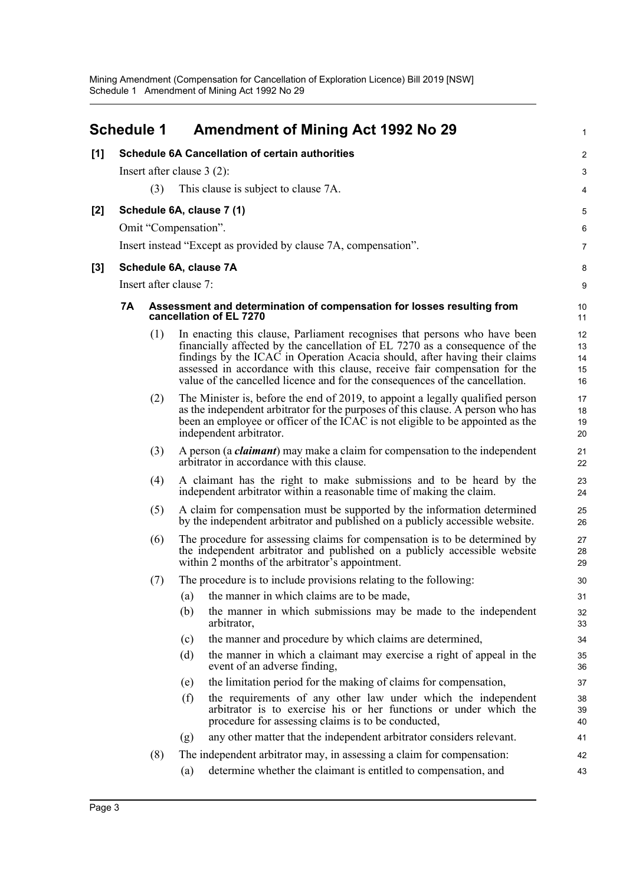<span id="page-4-0"></span>

|       | <b>Schedule 1</b>                                                                                       | <b>Amendment of Mining Act 1992 No 29</b>                                                                                                                                                                                                                                                                                                                                                            | 1                          |
|-------|---------------------------------------------------------------------------------------------------------|------------------------------------------------------------------------------------------------------------------------------------------------------------------------------------------------------------------------------------------------------------------------------------------------------------------------------------------------------------------------------------------------------|----------------------------|
| [1]   |                                                                                                         | <b>Schedule 6A Cancellation of certain authorities</b>                                                                                                                                                                                                                                                                                                                                               | $\overline{c}$             |
|       |                                                                                                         | Insert after clause $3(2)$ :                                                                                                                                                                                                                                                                                                                                                                         | 3                          |
|       | (3)                                                                                                     | This clause is subject to clause 7A.                                                                                                                                                                                                                                                                                                                                                                 | 4                          |
| $[2]$ |                                                                                                         | Schedule 6A, clause 7 (1)                                                                                                                                                                                                                                                                                                                                                                            | 5                          |
|       |                                                                                                         | Omit "Compensation".                                                                                                                                                                                                                                                                                                                                                                                 | 6                          |
|       |                                                                                                         | Insert instead "Except as provided by clause 7A, compensation".                                                                                                                                                                                                                                                                                                                                      | $\overline{7}$             |
| [3]   |                                                                                                         | Schedule 6A, clause 7A                                                                                                                                                                                                                                                                                                                                                                               | 8                          |
|       | Insert after clause 7:                                                                                  |                                                                                                                                                                                                                                                                                                                                                                                                      | 9                          |
|       | 7Α<br>Assessment and determination of compensation for losses resulting from<br>cancellation of EL 7270 |                                                                                                                                                                                                                                                                                                                                                                                                      |                            |
|       | (1)                                                                                                     | In enacting this clause, Parliament recognises that persons who have been<br>financially affected by the cancellation of EL 7270 as a consequence of the<br>findings by the ICAC in Operation Acacia should, after having their claims<br>assessed in accordance with this clause, receive fair compensation for the<br>value of the cancelled licence and for the consequences of the cancellation. | 12<br>13<br>14<br>15<br>16 |
|       | (2)                                                                                                     | The Minister is, before the end of 2019, to appoint a legally qualified person<br>as the independent arbitrator for the purposes of this clause. A person who has<br>been an employee or officer of the ICAC is not eligible to be appointed as the<br>independent arbitrator.                                                                                                                       | 17<br>18<br>19<br>20       |
|       | (3)                                                                                                     | A person (a <i>claimant</i> ) may make a claim for compensation to the independent<br>arbitrator in accordance with this clause.                                                                                                                                                                                                                                                                     | 21<br>22                   |
|       | (4)                                                                                                     | A claimant has the right to make submissions and to be heard by the<br>independent arbitrator within a reasonable time of making the claim.                                                                                                                                                                                                                                                          | 23<br>24                   |
|       | (5)                                                                                                     | A claim for compensation must be supported by the information determined<br>by the independent arbitrator and published on a publicly accessible website.                                                                                                                                                                                                                                            | 25<br>26                   |
|       | (6)                                                                                                     | The procedure for assessing claims for compensation is to be determined by<br>the independent arbitrator and published on a publicly accessible website<br>within 2 months of the arbitrator's appointment.                                                                                                                                                                                          | 27<br>28<br>29             |
|       | (7)                                                                                                     | The procedure is to include provisions relating to the following:                                                                                                                                                                                                                                                                                                                                    | 30                         |
|       |                                                                                                         | the manner in which claims are to be made,<br>(a)                                                                                                                                                                                                                                                                                                                                                    | 31                         |
|       |                                                                                                         | (b)<br>the manner in which submissions may be made to the independent<br>arbitrator,                                                                                                                                                                                                                                                                                                                 | 32<br>33                   |
|       |                                                                                                         | the manner and procedure by which claims are determined,<br>(c)                                                                                                                                                                                                                                                                                                                                      | 34                         |
|       |                                                                                                         | the manner in which a claimant may exercise a right of appeal in the<br>(d)<br>event of an adverse finding,                                                                                                                                                                                                                                                                                          | 35<br>36                   |
|       |                                                                                                         | the limitation period for the making of claims for compensation,<br>(e)                                                                                                                                                                                                                                                                                                                              | 37                         |
|       |                                                                                                         | the requirements of any other law under which the independent<br>(f)<br>arbitrator is to exercise his or her functions or under which the<br>procedure for assessing claims is to be conducted,                                                                                                                                                                                                      | 38<br>39<br>40             |
|       |                                                                                                         | any other matter that the independent arbitrator considers relevant.<br>(g)                                                                                                                                                                                                                                                                                                                          | 41                         |
|       | (8)                                                                                                     | The independent arbitrator may, in assessing a claim for compensation:                                                                                                                                                                                                                                                                                                                               | 42                         |
|       |                                                                                                         | determine whether the claimant is entitled to compensation, and<br>(a)                                                                                                                                                                                                                                                                                                                               | 43                         |